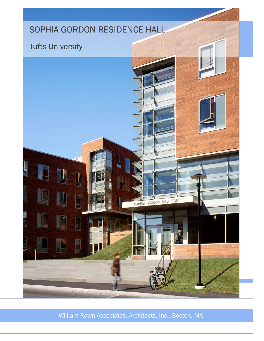# SOPHIA GORDON RESIDENCE HALL

## Tufts University



William Rawn Associates, Architects, Inc., Boston, MA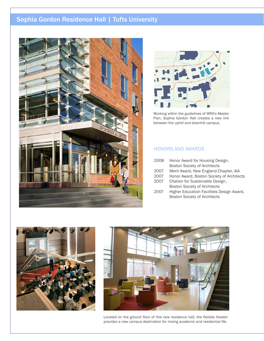## Sophia Gordon Residence Hall | Tufts University





Working within the guidelines of WRA's Master Plan, Sophia Gordon Hall creates a new link between the uphill and downhill campus.

### HONORS AND AWARDS

| 2008 | Honor Award for Housing Design,           |
|------|-------------------------------------------|
|      | <b>Boston Society of Architects</b>       |
| 2007 | Merit Award, New England Chapter, AIA     |
| 2007 | Honor Award, Boston Society of Architects |

- 2007 Citation for Sustainable Design, Boston Society of Architects
- 2007 Higher Education Facilities Design Award, Boston Society of Architects





Located on the ground floor of this new residence hall, the flexible theater provides a new campus destination for mixing academic and residential life.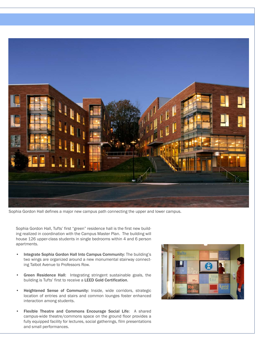

Sophia Gordon Hall defines a major new campus path connecting the upper and lower campus.

Sophia Gordon Hall, Tufts' first "green" residence hall is the first new building realized in coordination with the Campus Master Plan. The building will house 126 upper-class students in single bedrooms within 4 and 6 person apartments.

- Integrate Sophia Gordon Hall Into Campus Community: The building's two wings are organized around a new monumental stairway connecting Talbot Avenue to Professors Row.
- Green Residence Hall: Integrating stringent sustainable goals, the building is Tufts' first to receive a LEED Gold Certification.
- Heightened Sense of Community: Inside, wide corridors, strategic location of entries and stairs and common lounges foster enhanced interaction among students.
- Flexible Theatre and Commons Encourage Social Life: A shared campus-wide theatre/commons space on the ground floor provides a fully equipped facility for lectures, social gatherings, film presentations and small performances.